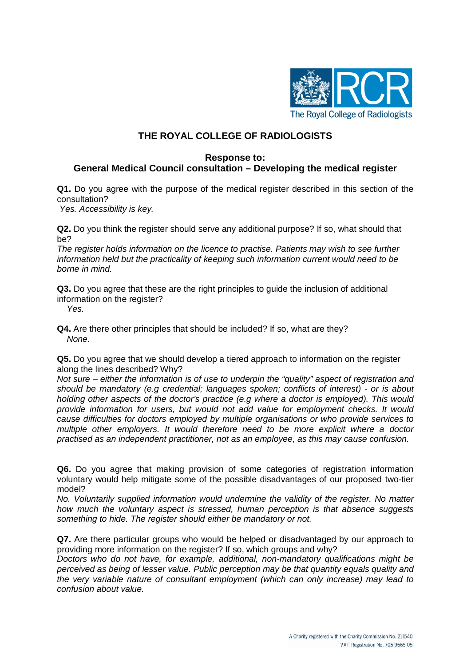

# **THE ROYAL COLLEGE OF RADIOLOGISTS**

#### **Response to:**

## **General Medical Council consultation – Developing the medical register**

**Q1.** Do you agree with the purpose of the medical register described in this section of the consultation?

*Yes. Accessibility is key.*

**Q2.** Do you think the register should serve any additional purpose? If so, what should that be?

*The register holds information on the licence to practise. Patients may wish to see further information held but the practicality of keeping such information current would need to be borne in mind.* 

**Q3.** Do you agree that these are the right principles to guide the inclusion of additional information on the register?

 *Yes.*

**Q4.** Are there other principles that should be included? If so, what are they?  *None.*

**Q5.** Do you agree that we should develop a tiered approach to information on the register along the lines described? Why?

*Not sure – either the information is of use to underpin the "quality" aspect of registration and should be mandatory (e.g credential; languages spoken; conflicts of interest) - or is about holding other aspects of the doctor's practice (e.g where a doctor is employed). This would provide information for users, but would not add value for employment checks. It would cause difficulties for doctors employed by multiple organisations or who provide services to multiple other employers. It would therefore need to be more explicit where a doctor practised as an independent practitioner, not as an employee, as this may cause confusion.*

**Q6.** Do you agree that making provision of some categories of registration information voluntary would help mitigate some of the possible disadvantages of our proposed two-tier model?

*No. Voluntarily supplied information would undermine the validity of the register. No matter how much the voluntary aspect is stressed, human perception is that absence suggests something to hide. The register should either be mandatory or not.*

**Q7.** Are there particular groups who would be helped or disadvantaged by our approach to providing more information on the register? If so, which groups and why?

*Doctors who do not have, for example, additional, non-mandatory qualifications might be perceived as being of lesser value. Public perception may be that quantity equals quality and the very variable nature of consultant employment (which can only increase) may lead to confusion about value.*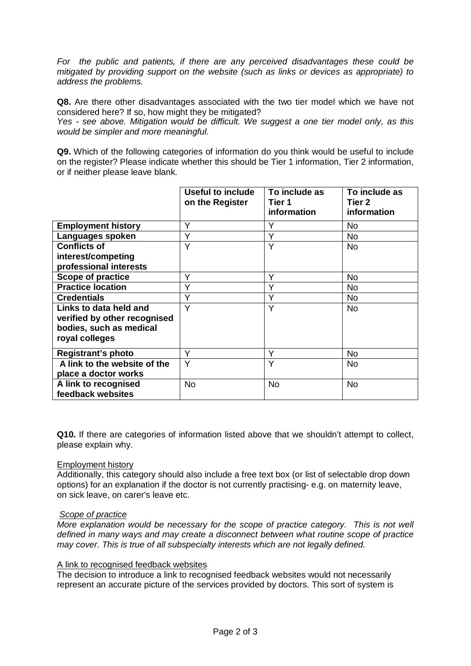*For the public and patients, if there are any perceived disadvantages these could be mitigated by providing support on the website (such as links or devices as appropriate) to address the problems.* 

**Q8.** Are there other disadvantages associated with the two tier model which we have not considered here? If so, how might they be mitigated?

*Yes - see above. Mitigation would be difficult. We suggest a one tier model only, as this would be simpler and more meaningful.*

**Q9.** Which of the following categories of information do you think would be useful to include on the register? Please indicate whether this should be Tier 1 information, Tier 2 information, or if neither please leave blank.

|                              | Useful to include<br>on the Register | To include as<br>Tier 1<br>information | To include as<br>Tier 2<br>information |
|------------------------------|--------------------------------------|----------------------------------------|----------------------------------------|
| <b>Employment history</b>    | Y                                    | Υ                                      | No                                     |
| Languages spoken             | Y                                    | Y                                      | No.                                    |
| <b>Conflicts of</b>          | Υ                                    | Y                                      | No.                                    |
| interest/competing           |                                      |                                        |                                        |
| professional interests       |                                      |                                        |                                        |
| <b>Scope of practice</b>     | Y                                    | Υ                                      | <b>No</b>                              |
| <b>Practice location</b>     | Υ                                    | Υ                                      | No                                     |
| <b>Credentials</b>           | v                                    | Υ                                      | No                                     |
| Links to data held and       | Y                                    | Y                                      | No.                                    |
| verified by other recognised |                                      |                                        |                                        |
| bodies, such as medical      |                                      |                                        |                                        |
| royal colleges               |                                      |                                        |                                        |
| <b>Registrant's photo</b>    | Y                                    | Υ                                      | <b>No</b>                              |
| A link to the website of the | Y                                    | Υ                                      | No.                                    |
| place a doctor works         |                                      |                                        |                                        |
| A link to recognised         | <b>No</b>                            | <b>No</b>                              | <b>No</b>                              |
| feedback websites            |                                      |                                        |                                        |

**Q10.** If there are categories of information listed above that we shouldn't attempt to collect, please explain why.

### Employment history

Additionally, this category should also include a free text box (or list of selectable drop down options) for an explanation if the doctor is not currently practising- e.g. on maternity leave, on sick leave, on carer's leave etc.

#### *Scope of practice*

*More explanation would be necessary for the scope of practice category. This is not well defined in many ways and may create a disconnect between what routine scope of practice may cover. This is true of all subspecialty interests which are not legally defined.*

### A link to recognised feedback websites

The decision to introduce a link to recognised feedback websites would not necessarily represent an accurate picture of the services provided by doctors. This sort of system is